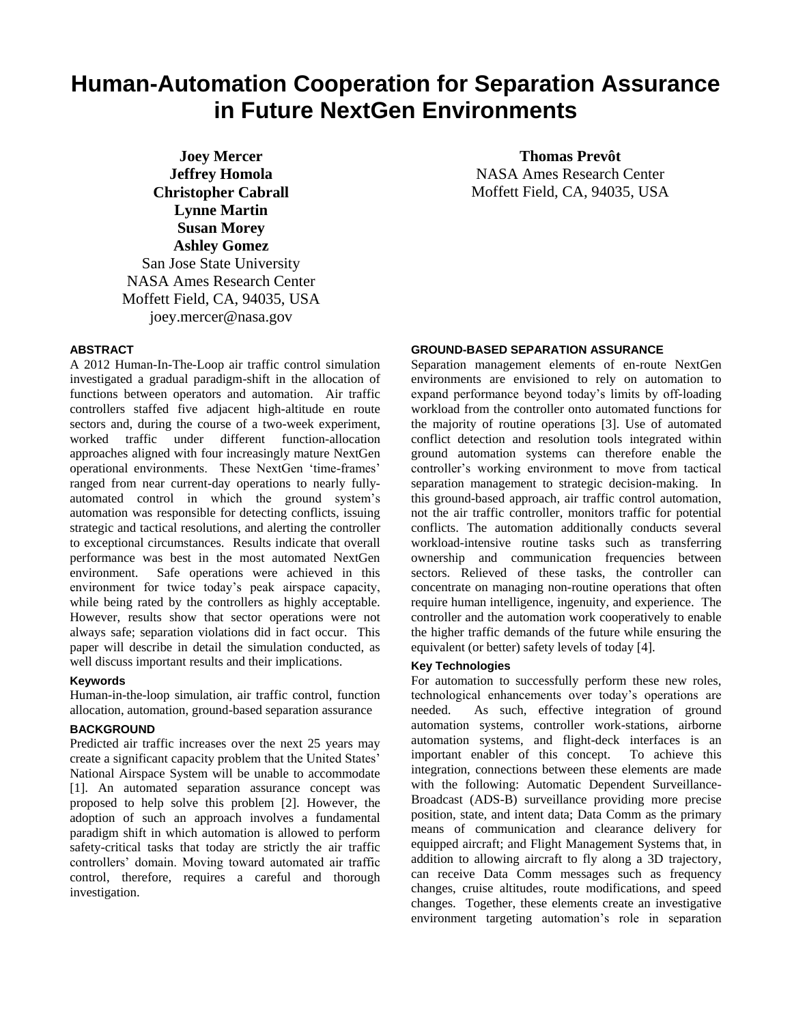# **Human-Automation Cooperation for Separation Assurance in Future NextGen Environments**

**Joey Mercer Jeffrey Homola Christopher Cabrall Lynne Martin Susan Morey Ashley Gomez** San Jose State University NASA Ames Research Center Moffett Field, CA, 94035, USA joey.mercer@nasa.gov

## **Thomas Prevôt** NASA Ames Research Center Moffett Field, CA, 94035, USA

## **ABSTRACT**

A 2012 Human-In-The-Loop air traffic control simulation investigated a gradual paradigm-shift in the allocation of functions between operators and automation. Air traffic controllers staffed five adjacent high-altitude en route sectors and, during the course of a two-week experiment, worked traffic under different function-allocation approaches aligned with four increasingly mature NextGen operational environments. These NextGen 'time-frames' ranged from near current-day operations to nearly fullyautomated control in which the ground system's automation was responsible for detecting conflicts, issuing strategic and tactical resolutions, and alerting the controller to exceptional circumstances. Results indicate that overall performance was best in the most automated NextGen environment. Safe operations were achieved in this environment for twice today's peak airspace capacity, while being rated by the controllers as highly acceptable. However, results show that sector operations were not always safe; separation violations did in fact occur. This paper will describe in detail the simulation conducted, as well discuss important results and their implications.

## **Keywords**

Human-in-the-loop simulation, air traffic control, function allocation, automation, ground-based separation assurance

## **BACKGROUND**

Predicted air traffic increases over the next 25 years may create a significant capacity problem that the United States' National Airspace System will be unable to accommodate [1]. An automated separation assurance concept was proposed to help solve this problem [2]. However, the adoption of such an approach involves a fundamental paradigm shift in which automation is allowed to perform safety-critical tasks that today are strictly the air traffic controllers' domain. Moving toward automated air traffic control, therefore, requires a careful and thorough investigation.

#### **GROUND-BASED SEPARATION ASSURANCE**

Separation management elements of en-route NextGen environments are envisioned to rely on automation to expand performance beyond today's limits by off-loading workload from the controller onto automated functions for the majority of routine operations [3]. Use of automated conflict detection and resolution tools integrated within ground automation systems can therefore enable the controller's working environment to move from tactical separation management to strategic decision-making. In this ground-based approach, air traffic control automation, not the air traffic controller, monitors traffic for potential conflicts. The automation additionally conducts several workload-intensive routine tasks such as transferring ownership and communication frequencies between sectors. Relieved of these tasks, the controller can concentrate on managing non-routine operations that often require human intelligence, ingenuity, and experience. The controller and the automation work cooperatively to enable the higher traffic demands of the future while ensuring the equivalent (or better) safety levels of today [4].

#### **Key Technologies**

For automation to successfully perform these new roles, technological enhancements over today's operations are needed. As such, effective integration of ground automation systems, controller work-stations, airborne automation systems, and flight-deck interfaces is an important enabler of this concept. To achieve this integration, connections between these elements are made with the following: Automatic Dependent Surveillance-Broadcast (ADS-B) surveillance providing more precise position, state, and intent data; Data Comm as the primary means of communication and clearance delivery for equipped aircraft; and Flight Management Systems that, in addition to allowing aircraft to fly along a 3D trajectory, can receive Data Comm messages such as frequency changes, cruise altitudes, route modifications, and speed changes. Together, these elements create an investigative environment targeting automation's role in separation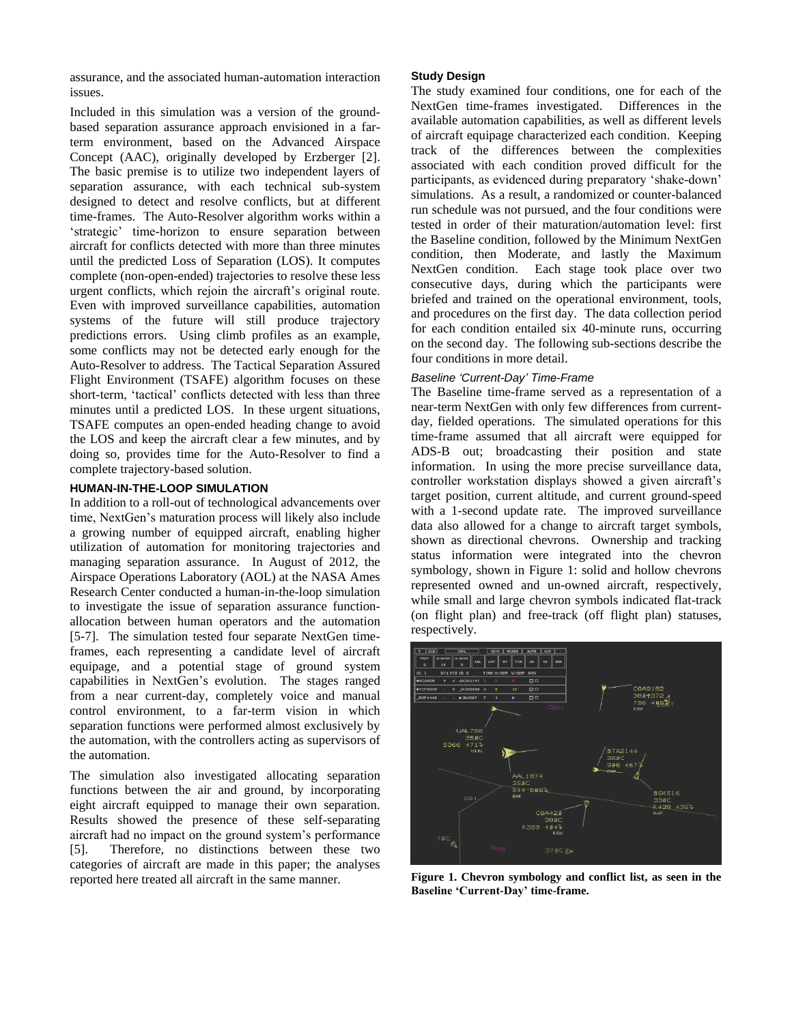assurance, and the associated human-automation interaction issues.

Included in this simulation was a version of the groundbased separation assurance approach envisioned in a farterm environment, based on the Advanced Airspace Concept (AAC), originally developed by Erzberger [2]. The basic premise is to utilize two independent layers of separation assurance, with each technical sub-system designed to detect and resolve conflicts, but at different time-frames. The Auto-Resolver algorithm works within a 'strategic' time-horizon to ensure separation between aircraft for conflicts detected with more than three minutes until the predicted Loss of Separation (LOS). It computes complete (non-open-ended) trajectories to resolve these less urgent conflicts, which rejoin the aircraft's original route. Even with improved surveillance capabilities, automation systems of the future will still produce trajectory predictions errors. Using climb profiles as an example, some conflicts may not be detected early enough for the Auto-Resolver to address. The Tactical Separation Assured Flight Environment (TSAFE) algorithm focuses on these short-term, 'tactical' conflicts detected with less than three minutes until a predicted LOS. In these urgent situations, TSAFE computes an open-ended heading change to avoid the LOS and keep the aircraft clear a few minutes, and by doing so, provides time for the Auto-Resolver to find a complete trajectory-based solution.

#### **HUMAN-IN-THE-LOOP SIMULATION**

In addition to a roll-out of technological advancements over time, NextGen's maturation process will likely also include a growing number of equipped aircraft, enabling higher utilization of automation for monitoring trajectories and managing separation assurance. In August of 2012, the Airspace Operations Laboratory (AOL) at the NASA Ames Research Center conducted a human-in-the-loop simulation to investigate the issue of separation assurance functionallocation between human operators and the automation [5-7]. The simulation tested four separate NextGen timeframes, each representing a candidate level of aircraft equipage, and a potential stage of ground system capabilities in NextGen's evolution. The stages ranged from a near current-day, completely voice and manual control environment, to a far-term vision in which separation functions were performed almost exclusively by the automation, with the controllers acting as supervisors of the automation.

The simulation also investigated allocating separation functions between the air and ground, by incorporating eight aircraft equipped to manage their own separation. Results showed the presence of these self-separating aircraft had no impact on the ground system's performance [5]. Therefore, no distinctions between these two categories of aircraft are made in this paper; the analyses reported here treated all aircraft in the same manner.

#### **Study Design**

The study examined four conditions, one for each of the NextGen time-frames investigated. Differences in the available automation capabilities, as well as different levels of aircraft equipage characterized each condition. Keeping track of the differences between the complexities associated with each condition proved difficult for the participants, as evidenced during preparatory 'shake-down' simulations. As a result, a randomized or counter-balanced run schedule was not pursued, and the four conditions were tested in order of their maturation/automation level: first the Baseline condition, followed by the Minimum NextGen condition, then Moderate, and lastly the Maximum NextGen condition. Each stage took place over two consecutive days, during which the participants were briefed and trained on the operational environment, tools, and procedures on the first day. The data collection period for each condition entailed six 40-minute runs, occurring on the second day. The following sub-sections describe the four conditions in more detail.

## *Baseline 'Current-Day' Time-Frame*

The Baseline time-frame served as a representation of a near-term NextGen with only few differences from currentday, fielded operations. The simulated operations for this time-frame assumed that all aircraft were equipped for ADS-B out; broadcasting their position and state information. In using the more precise surveillance data, controller workstation displays showed a given aircraft's target position, current altitude, and current ground-speed with a 1-second update rate. The improved surveillance data also allowed for a change to aircraft target symbols, shown as directional chevrons. Ownership and tracking status information were integrated into the chevron symbology, shown in Figure 1: solid and hollow chevrons represented owned and un-owned aircraft, respectively, while small and large chevron symbols indicated flat-track (on flight plan) and free-track (off flight plan) statuses, respectively.



**Figure 1. Chevron symbology and conflict list, as seen in the Baseline 'Current-Day' time-frame.**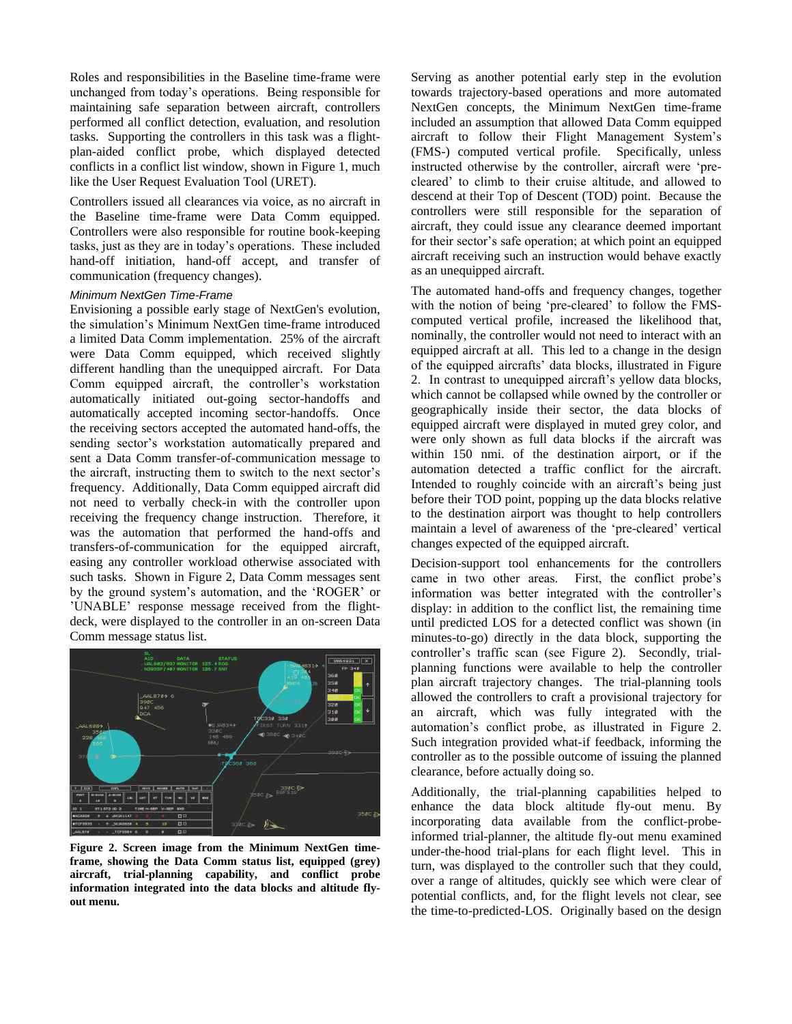Roles and responsibilities in the Baseline time-frame were unchanged from today's operations. Being responsible for maintaining safe separation between aircraft, controllers performed all conflict detection, evaluation, and resolution tasks. Supporting the controllers in this task was a flightplan-aided conflict probe, which displayed detected conflicts in a conflict list window, shown in Figure 1, much like the User Request Evaluation Tool (URET).

Controllers issued all clearances via voice, as no aircraft in the Baseline time-frame were Data Comm equipped. Controllers were also responsible for routine book-keeping tasks, just as they are in today's operations. These included hand-off initiation, hand-off accept, and transfer of communication (frequency changes).

## *Minimum NextGen Time-Frame*

Envisioning a possible early stage of NextGen's evolution, the simulation's Minimum NextGen time-frame introduced a limited Data Comm implementation. 25% of the aircraft were Data Comm equipped, which received slightly different handling than the unequipped aircraft. For Data Comm equipped aircraft, the controller's workstation automatically initiated out-going sector-handoffs and automatically accepted incoming sector-handoffs. Once the receiving sectors accepted the automated hand-offs, the sending sector's workstation automatically prepared and sent a Data Comm transfer-of-communication message to the aircraft, instructing them to switch to the next sector's frequency. Additionally, Data Comm equipped aircraft did not need to verbally check-in with the controller upon receiving the frequency change instruction. Therefore, it was the automation that performed the hand-offs and transfers-of-communication for the equipped aircraft, easing any controller workload otherwise associated with such tasks. Shown in Figure 2, Data Comm messages sent by the ground system's automation, and the 'ROGER' or 'UNABLE' response message received from the flightdeck, were displayed to the controller in an on-screen Data Comm message status list.



**Figure 2. Screen image from the Minimum NextGen timeframe, showing the Data Comm status list, equipped (grey) aircraft, trial-planning capability, and conflict probe information integrated into the data blocks and altitude flyout menu.**

Serving as another potential early step in the evolution towards trajectory-based operations and more automated NextGen concepts, the Minimum NextGen time-frame included an assumption that allowed Data Comm equipped aircraft to follow their Flight Management System's (FMS-) computed vertical profile. Specifically, unless instructed otherwise by the controller, aircraft were 'precleared' to climb to their cruise altitude, and allowed to descend at their Top of Descent (TOD) point. Because the controllers were still responsible for the separation of aircraft, they could issue any clearance deemed important for their sector's safe operation; at which point an equipped aircraft receiving such an instruction would behave exactly as an unequipped aircraft.

The automated hand-offs and frequency changes, together with the notion of being 'pre-cleared' to follow the FMScomputed vertical profile, increased the likelihood that, nominally, the controller would not need to interact with an equipped aircraft at all. This led to a change in the design of the equipped aircrafts' data blocks, illustrated in Figure 2. In contrast to unequipped aircraft's yellow data blocks, which cannot be collapsed while owned by the controller or geographically inside their sector, the data blocks of equipped aircraft were displayed in muted grey color, and were only shown as full data blocks if the aircraft was within 150 nmi. of the destination airport, or if the automation detected a traffic conflict for the aircraft. Intended to roughly coincide with an aircraft's being just before their TOD point, popping up the data blocks relative to the destination airport was thought to help controllers maintain a level of awareness of the 'pre-cleared' vertical changes expected of the equipped aircraft.

Decision-support tool enhancements for the controllers came in two other areas. First, the conflict probe's information was better integrated with the controller's display: in addition to the conflict list, the remaining time until predicted LOS for a detected conflict was shown (in minutes-to-go) directly in the data block, supporting the controller's traffic scan (see Figure 2). Secondly, trialplanning functions were available to help the controller plan aircraft trajectory changes. The trial-planning tools allowed the controllers to craft a provisional trajectory for an aircraft, which was fully integrated with the automation's conflict probe, as illustrated in Figure 2. Such integration provided what-if feedback, informing the controller as to the possible outcome of issuing the planned clearance, before actually doing so.

Additionally, the trial-planning capabilities helped to enhance the data block altitude fly-out menu. By incorporating data available from the conflict-probeinformed trial-planner, the altitude fly-out menu examined under-the-hood trial-plans for each flight level. This in turn, was displayed to the controller such that they could, over a range of altitudes, quickly see which were clear of potential conflicts, and, for the flight levels not clear, see the time-to-predicted-LOS. Originally based on the design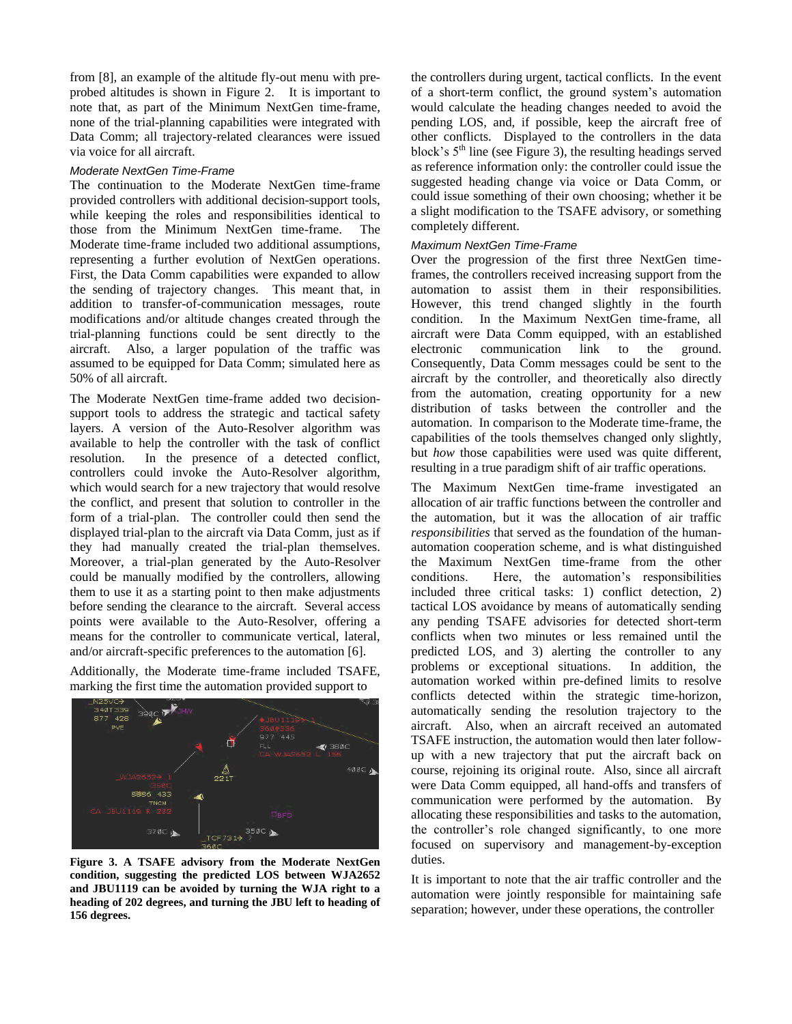from [8], an example of the altitude fly-out menu with preprobed altitudes is shown in Figure 2. It is important to note that, as part of the Minimum NextGen time-frame, none of the trial-planning capabilities were integrated with Data Comm; all trajectory-related clearances were issued via voice for all aircraft.

#### *Moderate NextGen Time-Frame*

The continuation to the Moderate NextGen time-frame provided controllers with additional decision-support tools, while keeping the roles and responsibilities identical to those from the Minimum NextGen time-frame. The Moderate time-frame included two additional assumptions, representing a further evolution of NextGen operations. First, the Data Comm capabilities were expanded to allow the sending of trajectory changes. This meant that, in addition to transfer-of-communication messages, route modifications and/or altitude changes created through the trial-planning functions could be sent directly to the aircraft. Also, a larger population of the traffic was assumed to be equipped for Data Comm; simulated here as 50% of all aircraft.

The Moderate NextGen time-frame added two decisionsupport tools to address the strategic and tactical safety layers. A version of the Auto-Resolver algorithm was available to help the controller with the task of conflict resolution. In the presence of a detected conflict, controllers could invoke the Auto-Resolver algorithm, which would search for a new trajectory that would resolve the conflict, and present that solution to controller in the form of a trial-plan. The controller could then send the displayed trial-plan to the aircraft via Data Comm, just as if they had manually created the trial-plan themselves. Moreover, a trial-plan generated by the Auto-Resolver could be manually modified by the controllers, allowing them to use it as a starting point to then make adjustments before sending the clearance to the aircraft. Several access points were available to the Auto-Resolver, offering a means for the controller to communicate vertical, lateral, and/or aircraft-specific preferences to the automation [6].

Additionally, the Moderate time-frame included TSAFE, marking the first time the automation provided support to



**Figure 3. A TSAFE advisory from the Moderate NextGen condition, suggesting the predicted LOS between WJA2652 and JBU1119 can be avoided by turning the WJA right to a heading of 202 degrees, and turning the JBU left to heading of 156 degrees.**

the controllers during urgent, tactical conflicts. In the event of a short-term conflict, the ground system's automation would calculate the heading changes needed to avoid the pending LOS, and, if possible, keep the aircraft free of other conflicts. Displayed to the controllers in the data block's  $5<sup>th</sup>$  line (see Figure 3), the resulting headings served as reference information only: the controller could issue the suggested heading change via voice or Data Comm, or could issue something of their own choosing; whether it be a slight modification to the TSAFE advisory, or something completely different.

#### *Maximum NextGen Time-Frame*

Over the progression of the first three NextGen timeframes, the controllers received increasing support from the automation to assist them in their responsibilities. However, this trend changed slightly in the fourth condition. In the Maximum NextGen time-frame, all aircraft were Data Comm equipped, with an established electronic communication link to the ground. Consequently, Data Comm messages could be sent to the aircraft by the controller, and theoretically also directly from the automation, creating opportunity for a new distribution of tasks between the controller and the automation. In comparison to the Moderate time-frame, the capabilities of the tools themselves changed only slightly, but *how* those capabilities were used was quite different, resulting in a true paradigm shift of air traffic operations.

The Maximum NextGen time-frame investigated an allocation of air traffic functions between the controller and the automation, but it was the allocation of air traffic *responsibilities* that served as the foundation of the humanautomation cooperation scheme, and is what distinguished the Maximum NextGen time-frame from the other conditions. Here, the automation's responsibilities included three critical tasks: 1) conflict detection, 2) tactical LOS avoidance by means of automatically sending any pending TSAFE advisories for detected short-term conflicts when two minutes or less remained until the predicted LOS, and 3) alerting the controller to any problems or exceptional situations. In addition, the automation worked within pre-defined limits to resolve conflicts detected within the strategic time-horizon, automatically sending the resolution trajectory to the aircraft. Also, when an aircraft received an automated TSAFE instruction, the automation would then later followup with a new trajectory that put the aircraft back on course, rejoining its original route. Also, since all aircraft were Data Comm equipped, all hand-offs and transfers of communication were performed by the automation. By allocating these responsibilities and tasks to the automation, the controller's role changed significantly, to one more focused on supervisory and management-by-exception duties.

It is important to note that the air traffic controller and the automation were jointly responsible for maintaining safe separation; however, under these operations, the controller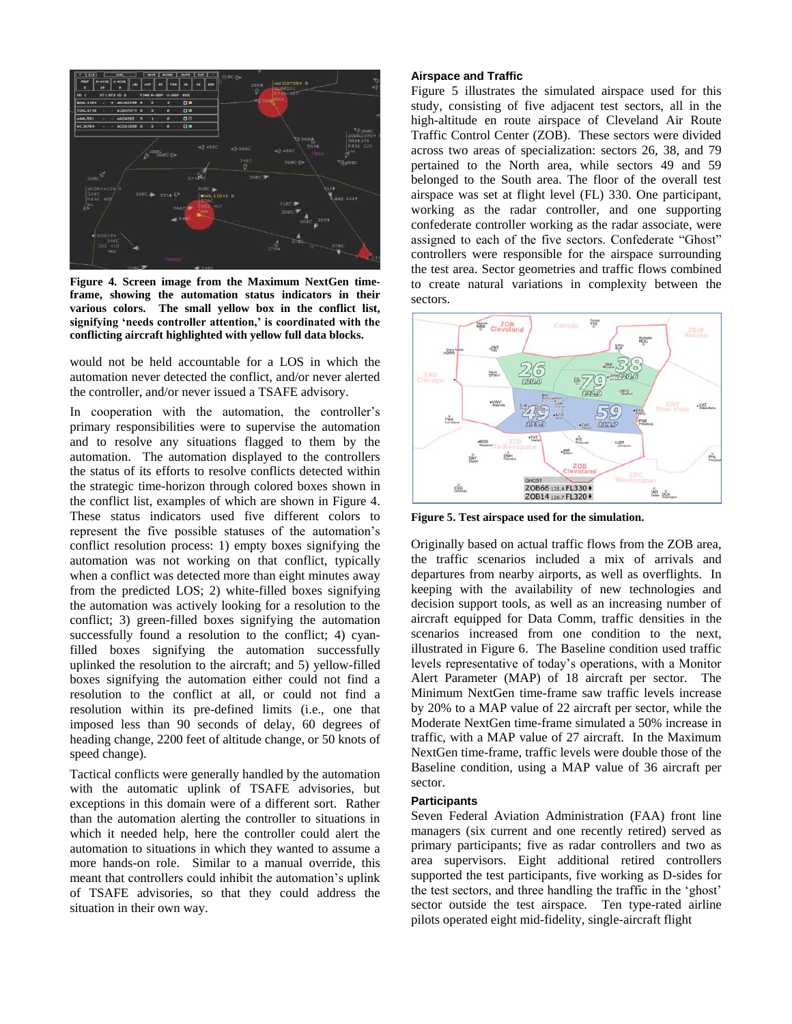

**Figure 4. Screen image from the Maximum NextGen timeframe, showing the automation status indicators in their various colors. The small yellow box in the conflict list, signifying 'needs controller attention,' is coordinated with the conflicting aircraft highlighted with yellow full data blocks.**

would not be held accountable for a LOS in which the automation never detected the conflict, and/or never alerted the controller, and/or never issued a TSAFE advisory.

In cooperation with the automation, the controller's primary responsibilities were to supervise the automation and to resolve any situations flagged to them by the automation. The automation displayed to the controllers the status of its efforts to resolve conflicts detected within the strategic time-horizon through colored boxes shown in the conflict list, examples of which are shown in Figure 4. These status indicators used five different colors to represent the five possible statuses of the automation's conflict resolution process: 1) empty boxes signifying the automation was not working on that conflict, typically when a conflict was detected more than eight minutes away from the predicted LOS; 2) white-filled boxes signifying the automation was actively looking for a resolution to the conflict; 3) green-filled boxes signifying the automation successfully found a resolution to the conflict; 4) cyanfilled boxes signifying the automation successfully uplinked the resolution to the aircraft; and 5) yellow-filled boxes signifying the automation either could not find a resolution to the conflict at all, or could not find a resolution within its pre-defined limits (i.e., one that imposed less than 90 seconds of delay, 60 degrees of heading change, 2200 feet of altitude change, or 50 knots of speed change).

Tactical conflicts were generally handled by the automation with the automatic uplink of TSAFE advisories, but exceptions in this domain were of a different sort. Rather than the automation alerting the controller to situations in which it needed help, here the controller could alert the automation to situations in which they wanted to assume a more hands-on role. Similar to a manual override, this meant that controllers could inhibit the automation's uplink of TSAFE advisories, so that they could address the situation in their own way.

#### **Airspace and Traffic**

Figure 5 illustrates the simulated airspace used for this study, consisting of five adjacent test sectors, all in the high-altitude en route airspace of Cleveland Air Route Traffic Control Center (ZOB). These sectors were divided across two areas of specialization: sectors 26, 38, and 79 pertained to the North area, while sectors 49 and 59 belonged to the South area. The floor of the overall test airspace was set at flight level (FL) 330. One participant, working as the radar controller, and one supporting confederate controller working as the radar associate, were assigned to each of the five sectors. Confederate "Ghost" controllers were responsible for the airspace surrounding the test area. Sector geometries and traffic flows combined to create natural variations in complexity between the sectors.



**Figure 5. Test airspace used for the simulation.**

Originally based on actual traffic flows from the ZOB area, the traffic scenarios included a mix of arrivals and departures from nearby airports, as well as overflights. In keeping with the availability of new technologies and decision support tools, as well as an increasing number of aircraft equipped for Data Comm, traffic densities in the scenarios increased from one condition to the next, illustrated in Figure 6. The Baseline condition used traffic levels representative of today's operations, with a Monitor Alert Parameter (MAP) of 18 aircraft per sector. The Minimum NextGen time-frame saw traffic levels increase by 20% to a MAP value of 22 aircraft per sector, while the Moderate NextGen time-frame simulated a 50% increase in traffic, with a MAP value of 27 aircraft. In the Maximum NextGen time-frame, traffic levels were double those of the Baseline condition, using a MAP value of 36 aircraft per sector.

#### **Participants**

Seven Federal Aviation Administration (FAA) front line managers (six current and one recently retired) served as primary participants; five as radar controllers and two as area supervisors. Eight additional retired controllers supported the test participants, five working as D-sides for the test sectors, and three handling the traffic in the 'ghost' sector outside the test airspace. Ten type-rated airline pilots operated eight mid-fidelity, single-aircraft flight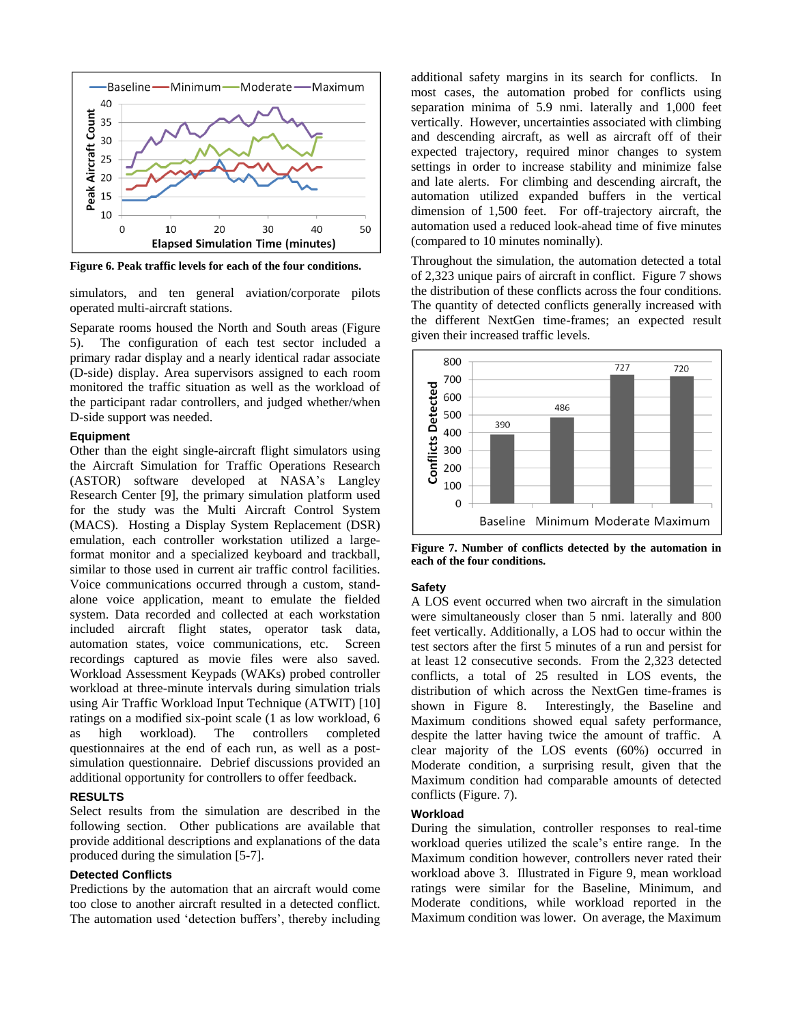

**Figure 6. Peak traffic levels for each of the four conditions.**

simulators, and ten general aviation/corporate pilots operated multi-aircraft stations.

Separate rooms housed the North and South areas (Figure 5). The configuration of each test sector included a primary radar display and a nearly identical radar associate (D-side) display. Area supervisors assigned to each room monitored the traffic situation as well as the workload of the participant radar controllers, and judged whether/when D-side support was needed.

#### **Equipment**

Other than the eight single-aircraft flight simulators using the Aircraft Simulation for Traffic Operations Research (ASTOR) software developed at NASA's Langley Research Center [9], the primary simulation platform used for the study was the Multi Aircraft Control System (MACS). Hosting a Display System Replacement (DSR) emulation, each controller workstation utilized a largeformat monitor and a specialized keyboard and trackball, similar to those used in current air traffic control facilities. Voice communications occurred through a custom, standalone voice application, meant to emulate the fielded system. Data recorded and collected at each workstation included aircraft flight states, operator task data, automation states, voice communications, etc. Screen recordings captured as movie files were also saved. Workload Assessment Keypads (WAKs) probed controller workload at three-minute intervals during simulation trials using Air Traffic Workload Input Technique (ATWIT) [10] ratings on a modified six-point scale (1 as low workload, 6 as high workload). The controllers completed questionnaires at the end of each run, as well as a postsimulation questionnaire. Debrief discussions provided an additional opportunity for controllers to offer feedback.

## **RESULTS**

Select results from the simulation are described in the following section. Other publications are available that provide additional descriptions and explanations of the data produced during the simulation [5-7].

## **Detected Conflicts**

Predictions by the automation that an aircraft would come too close to another aircraft resulted in a detected conflict. The automation used 'detection buffers', thereby including additional safety margins in its search for conflicts. In most cases, the automation probed for conflicts using separation minima of 5.9 nmi. laterally and 1,000 feet vertically. However, uncertainties associated with climbing and descending aircraft, as well as aircraft off of their expected trajectory, required minor changes to system settings in order to increase stability and minimize false and late alerts. For climbing and descending aircraft, the automation utilized expanded buffers in the vertical dimension of 1,500 feet. For off-trajectory aircraft, the automation used a reduced look-ahead time of five minutes (compared to 10 minutes nominally).

Throughout the simulation, the automation detected a total of 2,323 unique pairs of aircraft in conflict. Figure 7 shows the distribution of these conflicts across the four conditions. The quantity of detected conflicts generally increased with the different NextGen time-frames; an expected result given their increased traffic levels.



**Figure 7. Number of conflicts detected by the automation in each of the four conditions.**

#### **Safety**

A LOS event occurred when two aircraft in the simulation were simultaneously closer than 5 nmi. laterally and 800 feet vertically. Additionally, a LOS had to occur within the test sectors after the first 5 minutes of a run and persist for at least 12 consecutive seconds. From the 2,323 detected conflicts, a total of 25 resulted in LOS events, the distribution of which across the NextGen time-frames is shown in Figure 8. Interestingly, the Baseline and Maximum conditions showed equal safety performance, despite the latter having twice the amount of traffic. A clear majority of the LOS events (60%) occurred in Moderate condition, a surprising result, given that the Maximum condition had comparable amounts of detected conflicts (Figure. 7).

#### **Workload**

During the simulation, controller responses to real-time workload queries utilized the scale's entire range. In the Maximum condition however, controllers never rated their workload above 3. Illustrated in Figure 9, mean workload ratings were similar for the Baseline, Minimum, and Moderate conditions, while workload reported in the Maximum condition was lower. On average, the Maximum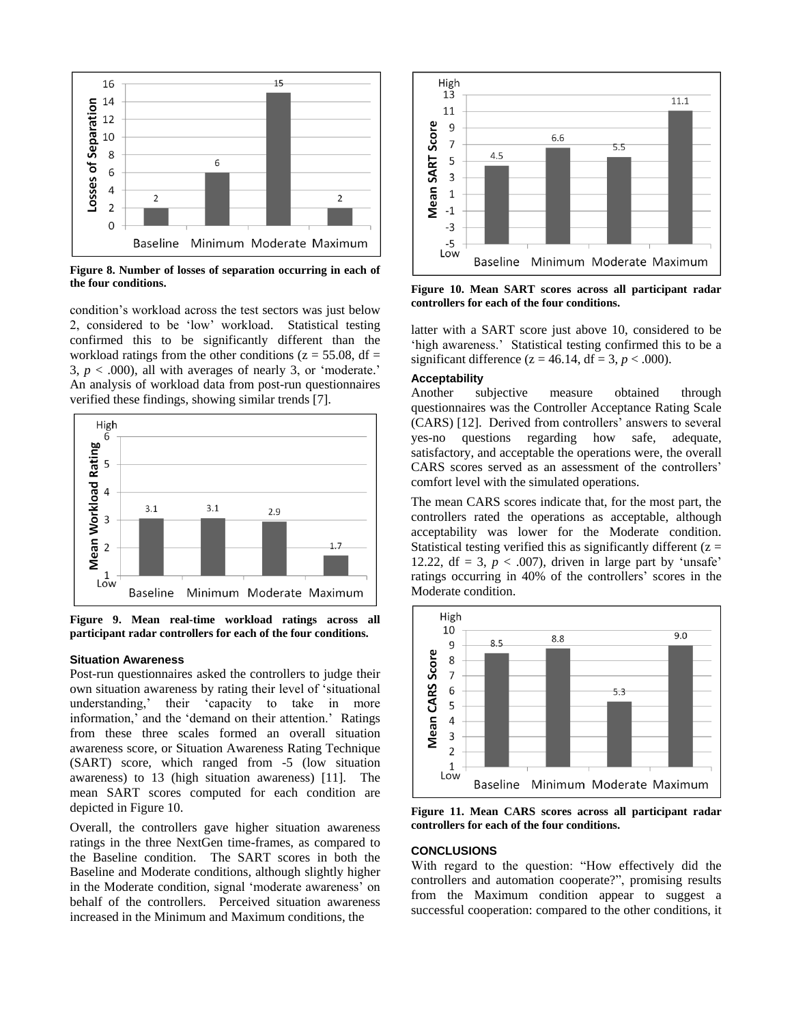

**Figure 8. Number of losses of separation occurring in each of the four conditions.**

condition's workload across the test sectors was just below 2, considered to be 'low' workload. Statistical testing confirmed this to be significantly different than the workload ratings from the other conditions ( $z = 55.08$ , df = 3,  $p < .000$ ), all with averages of nearly 3, or 'moderate.' An analysis of workload data from post-run questionnaires verified these findings, showing similar trends [7].



**Figure 9. Mean real-time workload ratings across all participant radar controllers for each of the four conditions.**

#### **Situation Awareness**

Post-run questionnaires asked the controllers to judge their own situation awareness by rating their level of 'situational understanding,' their 'capacity to take in more information,' and the 'demand on their attention.' Ratings from these three scales formed an overall situation awareness score, or Situation Awareness Rating Technique (SART) score, which ranged from -5 (low situation awareness) to 13 (high situation awareness) [11]. The mean SART scores computed for each condition are depicted in Figure 10.

Overall, the controllers gave higher situation awareness ratings in the three NextGen time-frames, as compared to the Baseline condition. The SART scores in both the Baseline and Moderate conditions, although slightly higher in the Moderate condition, signal 'moderate awareness' on behalf of the controllers. Perceived situation awareness increased in the Minimum and Maximum conditions, the



**Figure 10. Mean SART scores across all participant radar controllers for each of the four conditions.**

latter with a SART score just above 10, considered to be 'high awareness.' Statistical testing confirmed this to be a significant difference ( $z = 46.14$ , df = 3,  $p < .000$ ).

#### **Acceptability**

Another subjective measure obtained through questionnaires was the Controller Acceptance Rating Scale (CARS) [12]. Derived from controllers' answers to several yes-no questions regarding how safe, adequate, satisfactory, and acceptable the operations were, the overall CARS scores served as an assessment of the controllers' comfort level with the simulated operations.

The mean CARS scores indicate that, for the most part, the controllers rated the operations as acceptable, although acceptability was lower for the Moderate condition. Statistical testing verified this as significantly different  $(z =$ 12.22,  $df = 3$ ,  $p < .007$ ), driven in large part by 'unsafe' ratings occurring in 40% of the controllers' scores in the Moderate condition.



**Figure 11. Mean CARS scores across all participant radar controllers for each of the four conditions.**

#### **CONCLUSIONS**

With regard to the question: "How effectively did the controllers and automation cooperate?", promising results from the Maximum condition appear to suggest a successful cooperation: compared to the other conditions, it